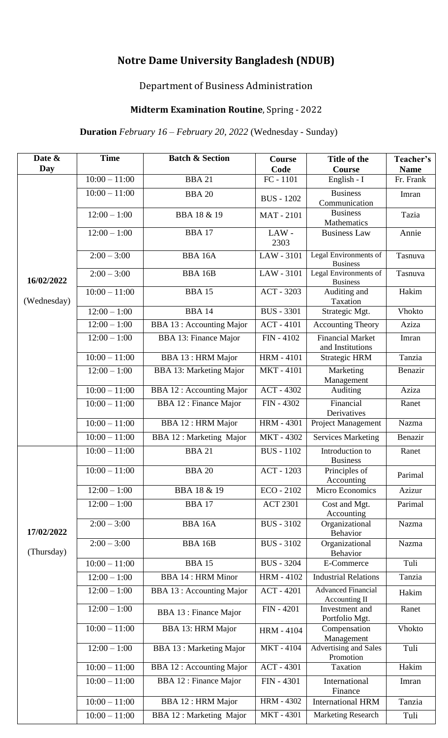# **Notre Dame University Bangladesh (NDUB)**

## Department of Business Administration

## **Midterm Examination Routine**, Spring - 2022

### **Duration** *February 16 – February 20, 2022* (Wednesday - Sunday)

| Date &<br>Day             | <b>Time</b>             | <b>Batch &amp; Section</b>      | Course<br>Code    | Title of the<br>Course                      | Teacher's<br><b>Name</b> |
|---------------------------|-------------------------|---------------------------------|-------------------|---------------------------------------------|--------------------------|
| 16/02/2022<br>(Wednesday) | $10:00 - 11:00$         | <b>BBA 21</b>                   | FC - 1101         | English - I                                 | Fr. Frank                |
|                           | $10:00 - 11:00$         | <b>BBA 20</b>                   | <b>BUS</b> - 1202 | <b>Business</b><br>Communication            | Imran                    |
|                           | $12:00 - 1:00$          | <b>BBA 18 &amp; 19</b>          | <b>MAT-2101</b>   | <b>Business</b><br>Mathematics              | Tazia                    |
|                           | $12:00 - 1:00$          | <b>BBA17</b>                    | LAW-<br>2303      | <b>Business Law</b>                         | Annie                    |
|                           | $2:00 - 3:00$           | <b>BBA 16A</b>                  | LAW - 3101        | Legal Environments of<br><b>Business</b>    | Tasnuva                  |
|                           | $2:00 - 3:00$           | <b>BBA 16B</b>                  | LAW - 3101        | Legal Environments of<br><b>Business</b>    | Tasnuva                  |
|                           | $10:00 - 11:00$         | <b>BBA 15</b>                   | ACT - 3203        | Auditing and<br>Taxation                    | Hakim                    |
|                           | $12:00 - 1:00$          | <b>BBA 14</b>                   | <b>BUS</b> - 3301 | Strategic Mgt.                              | <b>Vhokto</b>            |
|                           | $12:00 - 1:00$          | <b>BBA 13: Accounting Major</b> | <b>ACT - 4101</b> | <b>Accounting Theory</b>                    | Aziza                    |
|                           | $12:00 - 1:00$          | BBA 13: Finance Major           | FIN - 4102        | <b>Financial Market</b><br>and Institutions | Imran                    |
|                           | $10:00 - 11:00$         | <b>BBA 13: HRM Major</b>        | <b>HRM-4101</b>   | <b>Strategic HRM</b>                        | Tanzia                   |
|                           | $12:00 - 1:00$          | <b>BBA 13: Marketing Major</b>  | <b>MKT-4101</b>   | Marketing<br>Management                     | Benazir                  |
|                           | $10:00 - 11:00$         | <b>BBA 12: Accounting Major</b> | ACT - 4302        | Auditing                                    | Aziza                    |
|                           | $10:00 - 11:00$         | <b>BBA 12: Finance Major</b>    | FIN - 4302        | Financial<br>Derivatives                    | Ranet                    |
|                           | $10:00 - 11:00$         | <b>BBA 12: HRM Major</b>        | <b>HRM - 4301</b> | Project Management                          | Nazma                    |
|                           | $10:00 - 11:00$         | <b>BBA 12: Marketing Major</b>  | MKT-4302          | <b>Services Marketing</b>                   | Benazir                  |
| 17/02/2022<br>(Thursday)  | $10:00 - 11:00$         | <b>BBA 21</b>                   | <b>BUS</b> - 1102 | Introduction to<br><b>Business</b>          | Ranet                    |
|                           | $10:00 - 11:00$         | <b>BBA 20</b>                   | ACT - 1203        | Principles of<br>Accounting                 | Parimal                  |
|                           | $12:00 - 1:00$          | <b>BBA 18 &amp; 19</b>          | $ECO - 2102$      | Micro Economics                             | Azizur                   |
|                           | $12:00 - 1:00$          | <b>BBA 17</b>                   | <b>ACT 2301</b>   | Cost and Mgt.<br>Accounting                 | Parimal                  |
|                           | $2:00 - 3:00$           | <b>BBA 16A</b>                  | <b>BUS</b> - 3102 | Organizational<br><b>Behavior</b>           | Nazma                    |
|                           | $2:00 - 3:00$           | <b>BBA 16B</b>                  | <b>BUS</b> - 3102 | Organizational<br><b>Behavior</b>           | Nazma                    |
|                           | $10:00 - 11:00$         | <b>BBA 15</b>                   | <b>BUS</b> - 3204 | E-Commerce                                  | Tuli                     |
|                           | $12:00 - 1:00$          | <b>BBA 14: HRM Minor</b>        | <b>HRM - 4102</b> | <b>Industrial Relations</b>                 | Tanzia                   |
|                           | $12:00 - 1:00$          | <b>BBA 13: Accounting Major</b> | <b>ACT - 4201</b> | <b>Advanced Financial</b><br>Accounting II  | Hakim                    |
|                           | $12:00 - 1:00$          | <b>BBA 13 : Finance Major</b>   | <b>FIN - 4201</b> | Investment and<br>Portfolio Mgt.            | Ranet                    |
|                           | $10:00 - 11:00$         | <b>BBA 13: HRM Major</b>        | <b>HRM - 4104</b> | Compensation<br>Management                  | <b>Vhokto</b>            |
|                           | $\overline{12:00-1:00}$ | <b>BBA 13 : Marketing Major</b> | MKT-4104          | <b>Advertising and Sales</b><br>Promotion   | Tuli                     |
|                           | $10:00 - 11:00$         | <b>BBA 12: Accounting Major</b> | <b>ACT - 4301</b> | Taxation                                    | Hakim                    |
|                           | $10:00 - 11:00$         | <b>BBA 12</b> : Finance Major   | FIN - 4301        | International<br>Finance                    | Imran                    |
|                           | $10:00 - 11:00$         | <b>BBA 12: HRM Major</b>        | <b>HRM - 4302</b> | <b>International HRM</b>                    | Tanzia                   |
|                           | $10:00 - 11:00$         | <b>BBA 12: Marketing Major</b>  | MKT-4301          | <b>Marketing Research</b>                   | Tuli                     |